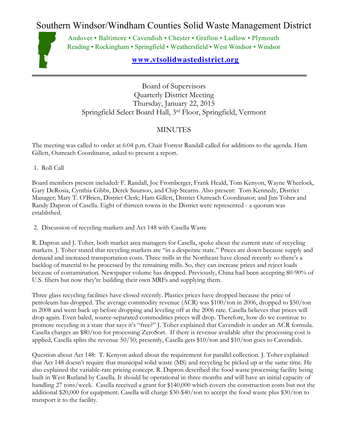Southern Windsor/Windham Counties Solid Waste Management District



Andover • Baltimore • Cavendish • Chester • Grafton • Ludlow • Plymouth Reading • Rockingham • Springfield • Weathersfield • West Windsor • Windsor

## **[www.vtsolidwastedistrict.org](http://www.vtsolidwastedistrict.org/)**

Board of Supervisors Quarterly District Meeting Thursday, January 22, 2015 Springfield Select Board Hall, 3rd Floor, Springfield, Vermont

## MINUTES

The meeting was called to order at 6:04 p.m. Chair Forrest Randall called for additions to the agenda. Ham Gillett, Outreach Coordinator, asked to present a report.

1. Roll Call

Board members present included: F. Randall, Joe Fromberger, Frank Heald, Tom Kenyon, Wayne Wheelock, Gary DeRosia, Cynthia Gibbs, Derek Suursoo, and Chip Stearns. Also present: Tom Kennedy, District Manager; Mary T. O'Brien, District Clerk; Ham Gillett, District Outreach Coordinator; and Jim Toher and Randy Dapron of Casella. Eight of thirteen towns in the District were represented - a quorum was established.

2. Discussion of recycling markets and Act 148 with Casella Waste

R. Dapron and J. Toher, both market area managers for Casella, spoke about the current state of recycling markets. J. Toher stated that recycling markets are "in a desperate state." Prices are down because supply and demand and increased transportation costs. Three mills in the Northeast have closed recently so there's a backlog of material to be processed by the remaining mills. So, they can increase prices and reject loads because of contamination. Newspaper volume has dropped. Previously, China had been accepting 80-90% of U.S. fibers but now they're building their own MRFs and supplying them.

Three glass recycling facilities have closed recently. Plastics prices have dropped because the price of petroleum has dropped. The average commodity revenue (ACR) was \$100/ton in 2006, dropped to \$50/ton in 2008 and went back up before dropping and leveling off at the 2006 rate. Casella believes that prices will drop again. Even baled, source-separated commodities prices will drop. Therefore, how do we continue to promote recycling in a state that says it's "free?" J. Toher explained that Cavendish is under an ACR formula. Casella charges an \$80/ton for processing ZeroSort. If there is revenue available after the processing cost is applied, Casella splits the revenue 50/50; presently, Casella gets \$10/ton and \$10/ton goes to Cavendish.

Question about Act 148: T. Kenyon asked about the requirement for parallel collection. J. Toher explained that Act 148 doesn't require that municipal solid waste (MS) and recycling be picked up at the same time. He also explained the variable-rate pricing concept. R. Dapron described the food waste processing facility being built in West Rutland by Casella. It should be operational in three months and will have an initial capacity of handling 27 tons/week. Casella received a grant for \$140,000 which covers the construction costs but not the additional \$20,000 for equipment. Casella will charge \$30-\$40/ton to accept the food waste plus \$30/ton to transport it to the facility.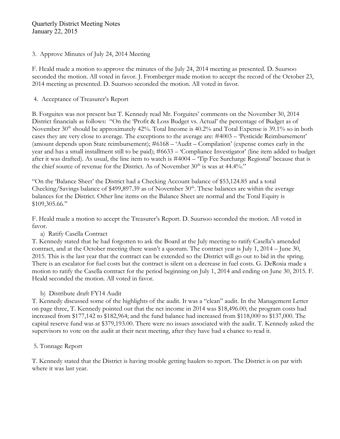#### 3. Approve Minutes of July 24, 2014 Meeting

F. Heald made a motion to approve the minutes of the July 24, 2014 meeting as presented. D. Suursoo seconded the motion. All voted in favor. J. Fromberger made motion to accept the record of the October 23, 2014 meeting as presented. D. Suursoo seconded the motion. All voted in favor.

### 4. Acceptance of Treasurer's Report

B. Forguites was not present but T. Kennedy read Mr. Forguites' comments on the November 30, 2014 District financials as follows: "On the 'Profit & Loss Budget vs. Actual' the percentage of Budget as of November 30<sup>th</sup> should be approximately 42%. Total Income is 40.2% and Total Expense is 39.1% so in both cases they are very close to average. The exceptions to the average are: #4003 – 'Pesticide Reimbursement' (amount depends upon State reimbursement); #6168 – 'Audit – Compilation' (expense comes early in the year and has a small installment still to be paid); #6633 – 'Compliance Investigator' (line item added to budget after it was drafted). As usual, the line item to watch is #4004 – 'Tip Fee Surcharge Regional' because that is the chief source of revenue for the District. As of November  $30<sup>th</sup>$  is was at 44.4%."

"On the 'Balance Sheet' the District had a Checking Account balance of \$53,124.85 and a total Checking/Savings balance of \$499,897.39 as of November  $30<sup>th</sup>$ . These balances are within the average balances for the District. Other line items on the Balance Sheet are normal and the Total Equity is \$109,305.66."

F. Heald made a motion to accept the Treasurer's Report. D. Suursoo seconded the motion. All voted in favor.

#### a) Ratify Casella Contract

T. Kennedy stated that he had forgotten to ask the Board at the July meeting to ratify Casella's amended contract, and at the October meeting there wasn't a quorum. The contract year is July 1, 2014 – June 30, 2015. This is the last year that the contract can be extended so the District will go out to bid in the spring. There is an escalator for fuel costs but the contract is silent on a decrease in fuel costs. G. DeRosia made a motion to ratify the Casella contract for the period beginning on July 1, 2014 and ending on June 30, 2015. F. Heald seconded the motion. All voted in favor.

#### b) Distribute draft FY14 Audit

T. Kennedy discussed some of the highlights of the audit. It was a "clean" audit. In the Management Letter on page three, T. Kennedy pointed out that the net income in 2014 was \$18,496.00; the program costs had increased from \$177,142 to \$182,964; and the fund balance had increased from \$118,000 to \$137,000. The capital reserve fund was at \$379,193.00. There were no issues associated with the audit. T. Kennedy asked the supervisors to vote on the audit at their next meeting, after they have had a chance to read it.

#### 5. Tonnage Report

T. Kennedy stated that the District is having trouble getting haulers to report. The District is on par with where it was last year.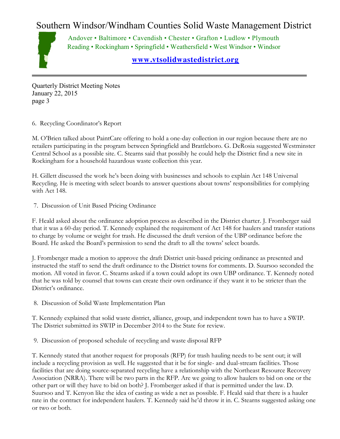# Southern Windsor/Windham Counties Solid Waste Management District



Andover • Baltimore • Cavendish • Chester • Grafton • Ludlow • Plymouth Reading • Rockingham • Springfield • Weathersfield • West Windsor • Windsor

## **[www.vtsolidwastedistrict.org](http://www.vtsolidwastedistrict.org/)**

Quarterly District Meeting Notes January 22, 2015 page 3

6. Recycling Coordinator's Report

M. O'Brien talked about PaintCare offering to hold a one-day collection in our region because there are no retailers participating in the program between Springfield and Brattleboro. G. DeRosia suggested Westminster Central School as a possible site. C. Stearns said that possibly he could help the District find a new site in Rockingham for a household hazardous waste collection this year.

H. Gillett discussed the work he's been doing with businesses and schools to explain Act 148 Universal Recycling. He is meeting with select boards to answer questions about towns' responsibilities for complying with Act 148.

#### 7. Discussion of Unit Based Pricing Ordinance

F. Heald asked about the ordinance adoption process as described in the District charter. J. Fromberger said that it was a 60-day period. T. Kennedy explained the requirement of Act 148 for haulers and transfer stations to charge by volume or weight for trash. He discussed the draft version of the UBP ordinance before the Board. He asked the Board's permission to send the draft to all the towns' select boards.

J. Fromberger made a motion to approve the draft District unit-based pricing ordinance as presented and instructed the staff to send the draft ordinance to the District towns for comments. D. Suursoo seconded the motion. All voted in favor. C. Stearns asked if a town could adopt its own UBP ordinance. T. Kennedy noted that he was told by counsel that towns can create their own ordinance if they want it to be stricter than the District's ordinance.

8. Discussion of Solid Waste Implementation Plan

T. Kennedy explained that solid waste district, alliance, group, and independent town has to have a SWIP. The District submitted its SWIP in December 2014 to the State for review.

9. Discussion of proposed schedule of recycling and waste disposal RFP

T. Kennedy stated that another request for proposals (RFP) for trash hauling needs to be sent out; it will include a recycling provision as well. He suggested that it be for single- and dual-stream facilities. Those facilities that are doing source-separated recycling have a relationship with the Northeast Resource Recovery Association (NRRA). There will be two parts in the RFP. Are we going to allow haulers to bid on one or the other part or will they have to bid on both? J. Fromberger asked if that is permitted under the law. D. Suursoo and T. Kenyon like the idea of casting as wide a net as possible. F. Heald said that there is a hauler rate in the contract for independent haulers. T. Kennedy said he'd throw it in. C. Stearns suggested asking one or two or both.